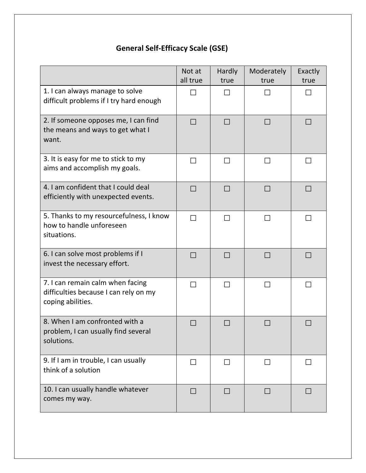### Not at all true **Hardly** true Moderately true Exactly true 1. I can always manage to solve difficult problems if I try hard enough □ □ □ □ 2. If someone opposes me, I can find the means and ways to get what I want. □ □ □ □ 3. It is easy for me to stick to my aims and accomplish my goals. □ □ □ □ 4. I am confident that I could deal efficiently with unexpected events. □ □ □ □ 5. Thanks to my resourcefulness, I know how to handle unforeseen situations. □ □ □ □ 6. I can solve most problems if I invest the necessary effort. □ □ □ □ 7. I can remain calm when facing difficulties because I can rely on my coping abilities. □ □ □ □ 8. When I am confronted with a problem, I can usually find several solutions. □ □ □ □ 9. If I am in trouble, I can usually think of a solution □ □ □ □ 10. I can usually handle whatever comes my way. □ □ □ □

# **General Self-Efficacy Scale (GSE)**